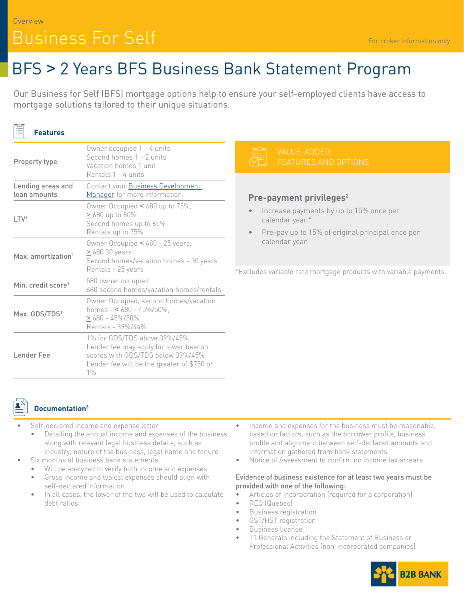### Overview Business For Self

# BFS > 2 Years BFS Business Bank Statement Program

Our Business for Self (BFS) mortgage options help to ensure your self-employed clients have access to mortgage solutions tailored to their unique situations.

| <b>Features</b>                   |                                                                                                                                                                   |                                                                                        |
|-----------------------------------|-------------------------------------------------------------------------------------------------------------------------------------------------------------------|----------------------------------------------------------------------------------------|
| Property type                     | Owner occupied 1 - 4 units<br>Second homes 1 - 2 units<br>Vacation homes 1 unit<br>Rentals 1 - 4 units                                                            | VAI<br>FF,                                                                             |
| Lending areas and<br>loan amounts | Contact your Business Development<br>Manager for more information.                                                                                                | Pre-paym<br>Increase<br>calenda<br>Pre-pay<br>$\bullet$<br>calenda<br>*Excludes variab |
| LTV <sup>1</sup>                  | Owner Occupied < 680 up to 75%,<br>$\geq 680$ up to 80%<br>Second homes up to 65%<br>Rentals up to 75%                                                            |                                                                                        |
| Max. amortization <sup>1</sup>    | Owner Occupied < 680 - 25 years,<br>$\geq 68030$ years<br>Second homes/vacation homes - 30 years<br>Rentals - 25 years                                            |                                                                                        |
| Min. credit score <sup>1</sup>    | 580 owner occupied<br>680 second homes/vacation homes/rentals                                                                                                     |                                                                                        |
| Max. GDS/TDS <sup>1</sup>         | Owner Occupied, second homes/vacation<br>homes - < $680 - 45\%/50\%$ ,<br>$\geq 680 - 45\%/50\%$<br>Rentals - 39%/44%                                             |                                                                                        |
| Lender Fee                        | 1% for GDS/TDS above 39%/45%<br>Lender fee may apply for lower beacon<br>scores with GDS/TDS below 39%/45%<br>Lender fee will be the greater of \$750 or<br>$1\%$ |                                                                                        |

## **TURES AND OPTIONS**

UE-ADDED

#### **Privileges<sup>2</sup>**

- e payments by up to 15% once per r year.\*
- up to 15% of original principal once per r year.

le rate mortgage products with variable payments.



 $F^{-1}$ 

### **Documentation3**

- Self-declared income and expense letter
	- Detailing the annual income and expenses of the business along with relevant legal business details, such as industry, nature of the business, legal name and tenure
- Six months of business bank statements
	- Will be analyzed to verify both income and expenses
	- Gross income and typical expenses should align with self-declared information
	- In all cases, the lower of the two will be used to calculate debt ratios
- Income and expenses for the business must be reasonable, based on factors, such as the borrower profile, business profile and alignment between self-declared amounts and information gathered from bank statements
- Notice of Assessment to confirm no income tax arrears

#### Evidence of business existence for at least two years must be provided with one of the following:

- Articles of Incorporation (required for a corporation)
- REQ (Quebec)
- Business registration
- GST/HST registration
- Business license
- T1 Generals including the Statement of Business or Professional Activities (non-incorporated companies)